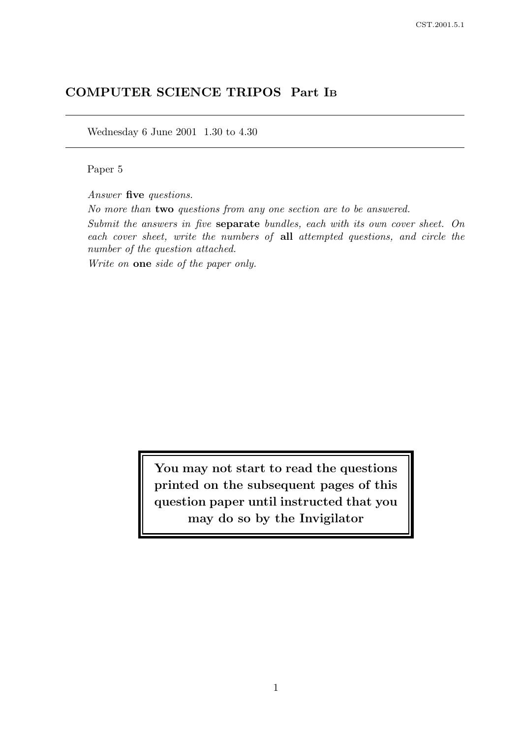# COMPUTER SCIENCE TRIPOS Part I<sup>B</sup>

Wednesday 6 June 2001 1.30 to 4.30

Paper 5

Answer five questions.

No more than two questions from any one section are to be answered.

Submit the answers in five separate bundles, each with its own cover sheet. On each cover sheet, write the numbers of all attempted questions, and circle the number of the question attached.

Write on **one** side of the paper only.

You may not start to read the questions printed on the subsequent pages of this question paper until instructed that you may do so by the Invigilator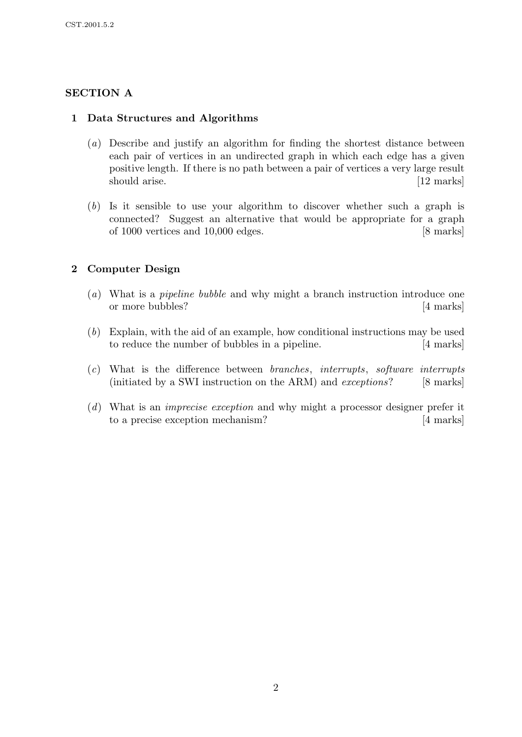## SECTION A

### 1 Data Structures and Algorithms

- (a) Describe and justify an algorithm for finding the shortest distance between each pair of vertices in an undirected graph in which each edge has a given positive length. If there is no path between a pair of vertices a very large result should arise. [12 marks]
- (b) Is it sensible to use your algorithm to discover whether such a graph is connected? Suggest an alternative that would be appropriate for a graph of 1000 vertices and 10,000 edges. [8 marks]

## 2 Computer Design

- (a) What is a pipeline bubble and why might a branch instruction introduce one or more bubbles? [4 marks]
- (b) Explain, with the aid of an example, how conditional instructions may be used to reduce the number of bubbles in a pipeline. [4 marks]
- (c) What is the difference between branches, interrupts, software interrupts (initiated by a SWI instruction on the ARM) and *exceptions*? [8 marks]
- (d) What is an imprecise exception and why might a processor designer prefer it to a precise exception mechanism? [4 marks]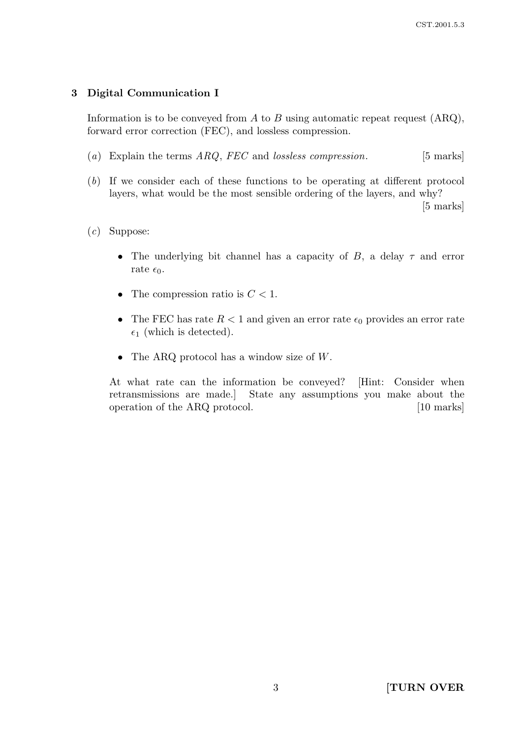### 3 Digital Communication I

Information is to be conveyed from  $A$  to  $B$  using automatic repeat request  $(ARQ)$ , forward error correction (FEC), and lossless compression.

- (a) Explain the terms  $ARQ$ , FEC and lossless compression. [5 marks]
- (b) If we consider each of these functions to be operating at different protocol layers, what would be the most sensible ordering of the layers, and why?

[5 marks]

### (c) Suppose:

- The underlying bit channel has a capacity of  $B$ , a delay  $\tau$  and error rate  $\epsilon_0$ .
- The compression ratio is  $C < 1$ .
- The FEC has rate  $R < 1$  and given an error rate  $\epsilon_0$  provides an error rate  $\epsilon_1$  (which is detected).
- The ARQ protocol has a window size of  $W$ .

At what rate can the information be conveyed? [Hint: Consider when retransmissions are made.] State any assumptions you make about the operation of the ARQ protocol. [10 marks]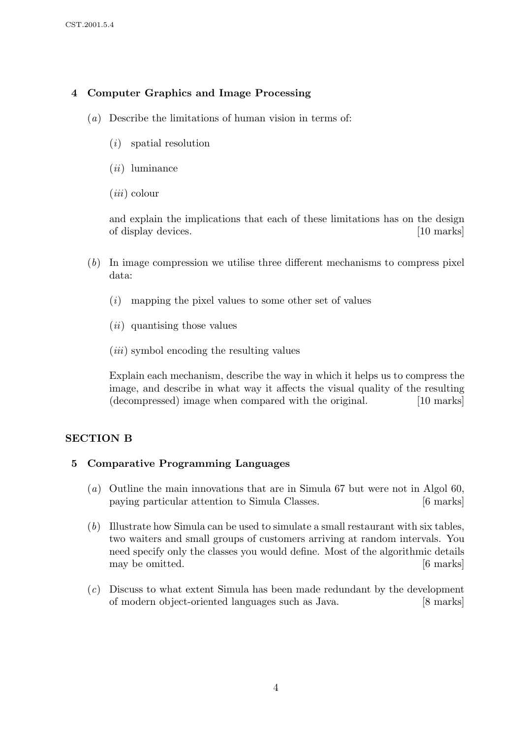## 4 Computer Graphics and Image Processing

- (a) Describe the limitations of human vision in terms of:
	- (i) spatial resolution
	- $(ii)$  luminance
	- $(iii)$  colour

and explain the implications that each of these limitations has on the design of display devices. [10 marks]  $\qquad \qquad$  [10 marks]

- (b) In image compression we utilise three different mechanisms to compress pixel data:
	- $(i)$  mapping the pixel values to some other set of values
	- (ii) quantising those values
	- $(iii)$  symbol encoding the resulting values

Explain each mechanism, describe the way in which it helps us to compress the image, and describe in what way it affects the visual quality of the resulting (decompressed) image when compared with the original. [10 marks]

## SECTION B

## 5 Comparative Programming Languages

- (a) Outline the main innovations that are in Simula 67 but were not in Algol 60, paying particular attention to Simula Classes. [6 marks]
- (b) Illustrate how Simula can be used to simulate a small restaurant with six tables, two waiters and small groups of customers arriving at random intervals. You need specify only the classes you would define. Most of the algorithmic details may be omitted.  $[6 \text{ marks}]$
- (c) Discuss to what extent Simula has been made redundant by the development of modern object-oriented languages such as Java. [8 marks]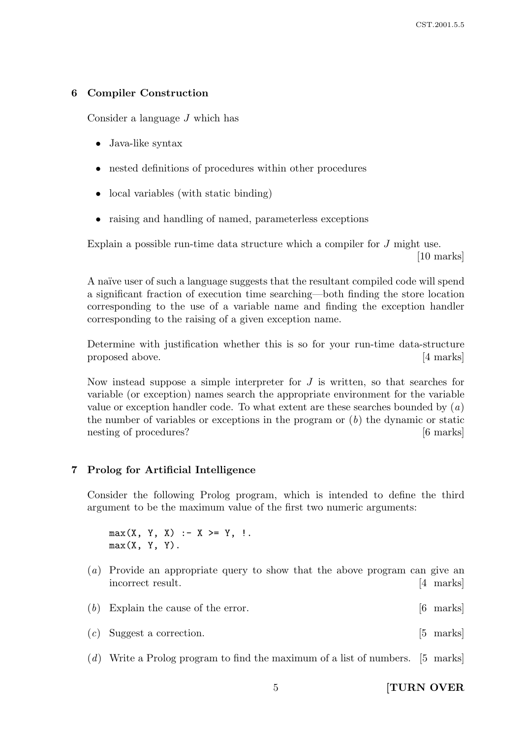### 6 Compiler Construction

Consider a language J which has

- Java-like syntax
- nested definitions of procedures within other procedures
- local variables (with static binding)
- raising and handling of named, parameterless exceptions

Explain a possible run-time data structure which a compiler for J might use. [10 marks]

A naïve user of such a language suggests that the resultant compiled code will spend a significant fraction of execution time searching—both finding the store location corresponding to the use of a variable name and finding the exception handler corresponding to the raising of a given exception name.

Determine with justification whether this is so for your run-time data-structure proposed above. [4 marks]

Now instead suppose a simple interpreter for  $J$  is written, so that searches for variable (or exception) names search the appropriate environment for the variable value or exception handler code. To what extent are these searches bounded by  $(a)$ the number of variables or exceptions in the program or  $(b)$  the dynamic or static nesting of procedures? [6 marks]

#### 7 Prolog for Artificial Intelligence

Consider the following Prolog program, which is intended to define the third argument to be the maximum value of the first two numeric arguments:

 $max(X, Y, X)$  :-  $X \geq Y$ , !.  $max(X, Y, Y)$ .

- (a) Provide an appropriate query to show that the above program can give an incorrect result. [4 marks]
- (b) Explain the cause of the error. [6 marks]
- (c) Suggest a correction. [5 marks]
- (d) Write a Prolog program to find the maximum of a list of numbers. [5 marks]

5 [TURN OVER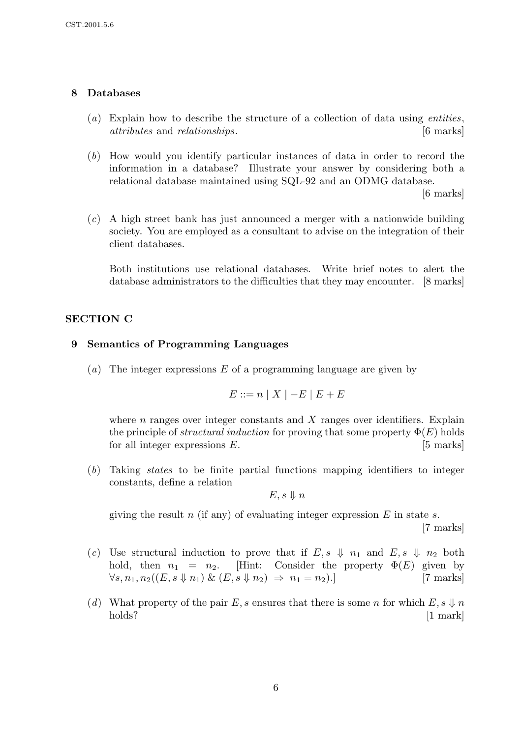### 8 Databases

- (a) Explain how to describe the structure of a collection of data using *entities*, attributes and relationships. [6 marks]
- (b) How would you identify particular instances of data in order to record the information in a database? Illustrate your answer by considering both a relational database maintained using SQL-92 and an ODMG database.

[6 marks]

(c) A high street bank has just announced a merger with a nationwide building society. You are employed as a consultant to advise on the integration of their client databases.

Both institutions use relational databases. Write brief notes to alert the database administrators to the difficulties that they may encounter. [8 marks]

### SECTION C

#### 9 Semantics of Programming Languages

(a) The integer expressions  $E$  of a programming language are given by

$$
E ::= n \mid X \mid -E \mid E + E
$$

where  $n$  ranges over integer constants and  $X$  ranges over identifiers. Explain the principle of *structural induction* for proving that some property  $\Phi(E)$  holds for all integer expressions  $E$ . [5 marks]

(b) Taking states to be finite partial functions mapping identifiers to integer constants, define a relation

$$
E,s \Downarrow n
$$

giving the result n (if any) of evaluating integer expression  $E$  in state s. [7 marks]

- (c) Use structural induction to prove that if  $E, s \psi \neq n_1$  and  $E, s \psi \neq n_2$  both hold, then  $n_1 = n_2$ . [Hint: Consider the property  $\Phi(E)$  given by  $\forall s, n_1, n_2((E, s \Downarrow n_1) \& (E, s \Downarrow n_2) \Rightarrow n_1 = n_2).$  [7 marks]
- (d) What property of the pair E, s ensures that there is some n for which  $E, s \ndownarrow n$ holds? [1 mark]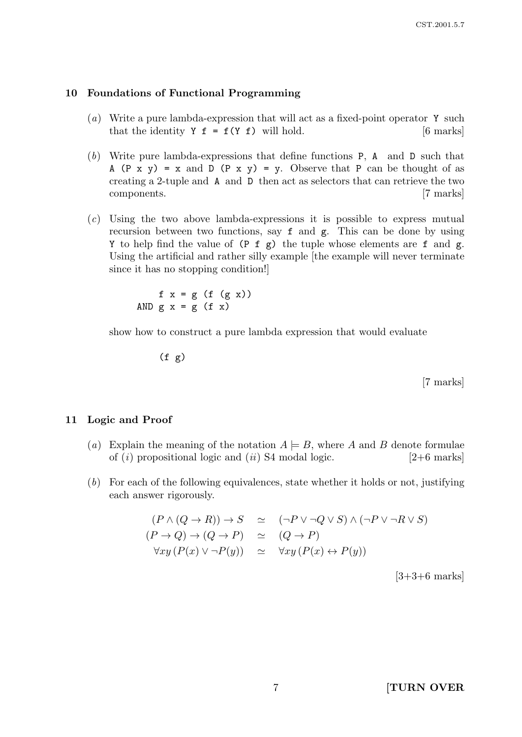#### 10 Foundations of Functional Programming

- (a) Write a pure lambda-expression that will act as a fixed-point operator Y such that the identity  $Y f = f(Y f)$  will hold. [6 marks]
- (b) Write pure lambda-expressions that define functions P, A and D such that A (P x y) = x and D (P x y) = y. Observe that P can be thought of as creating a 2-tuple and A and D then act as selectors that can retrieve the two components. [7 marks]
- (c) Using the two above lambda-expressions it is possible to express mutual recursion between two functions, say f and g. This can be done by using Y to help find the value of  $(P f g)$  the tuple whose elements are f and g. Using the artificial and rather silly example [the example will never terminate since it has no stopping condition!]

f  $x = g(f(gx))$ AND  $g x = g (f x)$ 

show how to construct a pure lambda expression that would evaluate

 $(f g)$ 

[7 marks]

#### 11 Logic and Proof

- (a) Explain the meaning of the notation  $A \models B$ , where A and B denote formulae of (i) propositional logic and (ii) S4 modal logic.  $[2+6 \text{ marks}]$
- (b) For each of the following equivalences, state whether it holds or not, justifying each answer rigorously.

$$
(P \land (Q \to R)) \to S \simeq (\neg P \lor \neg Q \lor S) \land (\neg P \lor \neg R \lor S)
$$
  
\n
$$
(P \to Q) \to (Q \to P) \simeq (Q \to P)
$$
  
\n
$$
\forall xy (P(x) \lor \neg P(y)) \simeq \forall xy (P(x) \leftrightarrow P(y))
$$

 $[3+3+6$  marks]

7 **[TURN OVER**